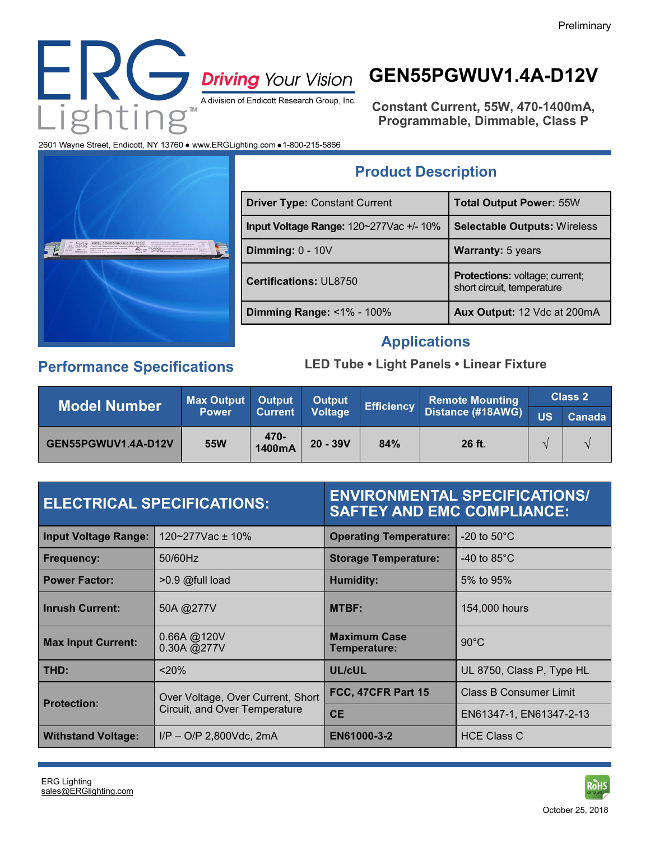

# **GEN55PGWUV1.4A-D12V**

**Constant Current, 55W, 470-1400mA, Programmable, Dimmable, Class P**

2601 Wayne Street, Endicott, NY 13760 . www.ERGLighting.com . 1-800-215-5866



## **Product Description**

| <b>Driver Type: Constant Current</b>    | <b>Total Output Power: 55W</b>                                      |
|-----------------------------------------|---------------------------------------------------------------------|
| Input Voltage Range: 120~277Vac +/- 10% | <b>Selectable Outputs: Wireless</b>                                 |
| Dimming: $0 - 10V$                      | <b>Warranty: 5 years</b>                                            |
| <b>Certifications: UL8750</b>           | <b>Protections:</b> voltage; current;<br>short circuit, temperature |
| Dimming Range: <1% - 100%               | Aux Output: 12 Vdc at 200mA                                         |

#### **Applications**

### **Performance Specifications**

#### **LED Tube • Light Panels • Linear Fixture**

| Model Number        | <b>Max Output</b> | <b>Output</b>  | <b>Output</b>  |     | <b>Remote Mounting</b>              |           | Class 2 |
|---------------------|-------------------|----------------|----------------|-----|-------------------------------------|-----------|---------|
|                     | <b>Power</b>      | <b>Current</b> | <b>Voltage</b> |     | <b>Efficiency</b> Distance (#18AWG) | <b>US</b> | Canada  |
| GEN55PGWUV1.4A-D12V | <b>55W</b>        | 470-<br>1400mA | $20 - 39V$     | 84% | 26 ft.                              |           |         |

|                             | <b>ELECTRICAL SPECIFICATIONS:</b>                                  | <b>SAFTEY AND EMC COMPLIANCE:</b>   | <b>ENVIRONMENTAL SPECIFICATIONS/</b> |
|-----------------------------|--------------------------------------------------------------------|-------------------------------------|--------------------------------------|
| <b>Input Voltage Range:</b> | 120~277Vac ± 10%                                                   | <b>Operating Temperature:</b>       | $-20$ to $50^{\circ}$ C              |
| <b>Frequency:</b>           | 50/60Hz                                                            | <b>Storage Temperature:</b>         | -40 to $85^{\circ}$ C                |
| <b>Power Factor:</b>        | $>0.9$ @full load                                                  | Humidity:                           | 5% to 95%                            |
| <b>Inrush Current:</b>      | 50A @277V                                                          | <b>MTBF:</b>                        | 154,000 hours                        |
| <b>Max Input Current:</b>   | 0.66A @ 120V<br>0.30A @277V                                        | <b>Maximum Case</b><br>Temperature: | $90^{\circ}$ C                       |
| THD:                        | $20\%$                                                             | UL/cUL                              | UL 8750, Class P, Type HL            |
| <b>Protection:</b>          | Over Voltage, Over Current, Short<br>Circuit, and Over Temperature | FCC, 47CFR Part 15                  | Class B Consumer Limit               |
|                             |                                                                    | <b>CE</b>                           | EN61347-1, EN61347-2-13              |
| <b>Withstand Voltage:</b>   | $I/P - O/P$ 2,800Vdc, 2mA                                          | EN61000-3-2                         | <b>HCE Class C</b>                   |